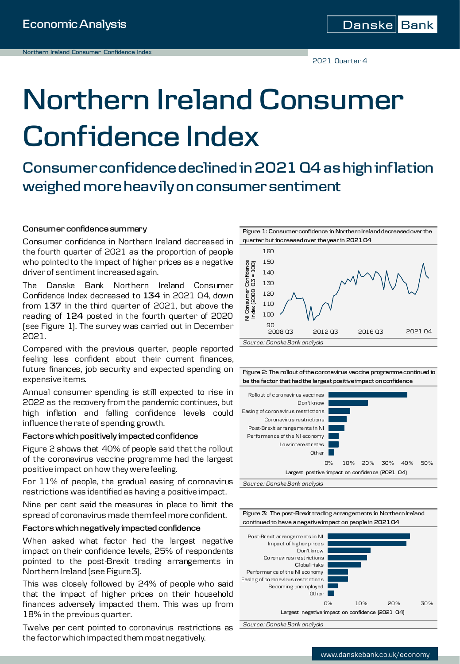2021 Quarter 4

# **Northern Ireland Consumer Confidence Index**

**Consumer confidence declined in 2021 Q4 as high inflation weighed more heavily on consumer sentiment**

#### **Consumer confidence summary**

Consumer confidence in Northern Ireland decreased in the fourth quarter of 2021 as the proportion of people who pointed to the impact of higher prices as a negative driverof sentiment increased again.

The Danske Bank Northern Ireland Consumer Confidence Index decreased to **134** in 2021 Q4, down from **137** in the third quarter of 2021, but above the reading of **124** posted in the fourth quarter of 2020 (see Figure 1). The survey was carried out in December 2021.

Compared with the previous quarter, people reported feeling less confident about their current finances, future finances, job security and expected spending on expensive items.

Annual consumer spending is still expected to rise in 2022 as the recovery fromthe pandemic continues, but high inflation and falling confidence levels could influence the rate of spending growth.

#### $Factors$  which positively impacted confidence

Figure 2 shows that 40% of people said that the rollout of the coronavirus vaccine programme had the largest positive impact on how they werefeeling.

For 11% of people, the gradual easing of coronavirus restrictions was identified as having a positive impact.

Nine per cent said the measures in place to limit the spread of coronavirus made themfeel more confident.

#### **Factors whichnegatively impacted confidence**

When asked what factor had the largest negative impact on their confidence levels, 25% of respondents pointed to the post-Brexit trading arrangements in Northern Ireland (see Figure3).

This was closely followed by 24% of people who said that the impact of higher prices on their household finances adversely impacted them. This was up from 18% in the previous quarter.

Twelve per cent pointed to coronavirus restrictions as the factorwhich impacted themmostnegatively.



**Figure 1: Consumer confidence in Northern Ireland decreased over the** 

**Figure 2: The rollout of the coronavirus vaccine programme continued to be the factor that had the largest positive impact on confidence**



*Source: Danske Bank analysis*



*Source: Danske Bank analysis*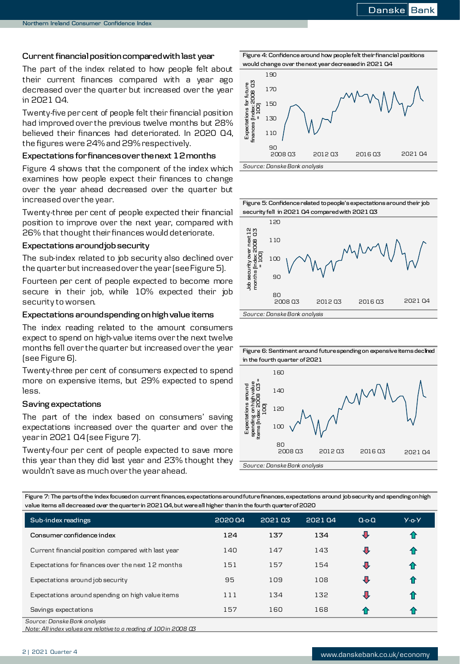#### **Currentfinancialpositioncomparedwithlast year**

The part of the index related to how people felt about their current finances compared with a year ago decreased over the quarter but increased over the year in 2021 Q4.

Twenty-five percent of people felt their financial position had improved over the previous twelve months but 28% believed their finances had deteriorated. In 2020 Q4, the figures were 24%and29%respectively.

#### **Expectations for financesover thenext 12months**

Figure 4 shows that the component of the index which examines how people expect their finances to change over the year ahead decreased over the quarter but increased over the year.

Twenty-three per cent of people expected their financial position to improve over the next year, compared with 26% that thought their finances would deteriorate.

#### **Expectations aroundjobsecurity**

The sub-index related to job security also declined over the quarter but increased over the year (see Figure 5).

Fourteen per cent of people expected to become more secure in their job, while 10% expected their job security to worsen.

#### **Expectations aroundspending onhighvalue items**

The index reading related to the amount consumers expect to spend on high-value items over the next twelve months fell over the quarter but increased over the year (see Figure 6).

Twenty-three per cent of consumers expected to spend more on expensive items, but 29% expected to spend less.

#### **Saving expectations**

The part of the index based on consumers' saving expectations increased over the quarter and over the year in 2021 Q4 (see Figure 7).

Twenty-four per cent of people expected to save more this year than they did last year and 23% thought they wouldn't save as much over the yearahead.



**Figure 4: Confidence around how people felt their financial positions** 

**Figure 5: Confidence related to people's expectations around their job security fell in 2021 Q4 compared with 2021 Q3**



**Figure 6: Sentiment around future spending on expensive items declined in the fourth quarter of 2021**



**Figure 7: The parts of the index focused on current finances, expectations around future finances, expectations around job security and spending on high value items all decreased over the quarter in 2021 Q4, but were all higher than in the fourth quarter of 2020**

| Sub-index readings                                 | 202004 | 202103 | 202104 | $Q_0 Q_1$ | $Y - 0 - Y$ |
|----------------------------------------------------|--------|--------|--------|-----------|-------------|
| Consumer confidence index                          | 124    | 137    | 134    | ⇩         | 1           |
| Current financial position compared with last year | 140    | 147    | 143    | ⇩         | ⇑           |
| Expectations for finances over the next 12 months  | 151    | 157    | 154    | ⇩         | 介           |
| Expectations around job security                   | 95     | 109    | 108    | ⇩         |             |
| Expectations around spending on high value items   | 111    | 134    | 132    | ⇩         |             |
| Savings expectations                               | 157    | 160    | 168    | -47       | 11          |
| Source: Danske Bank analysis                       |        |        |        |           |             |

*Note: All index values are relative to a reading of 100 in 2008 Q3*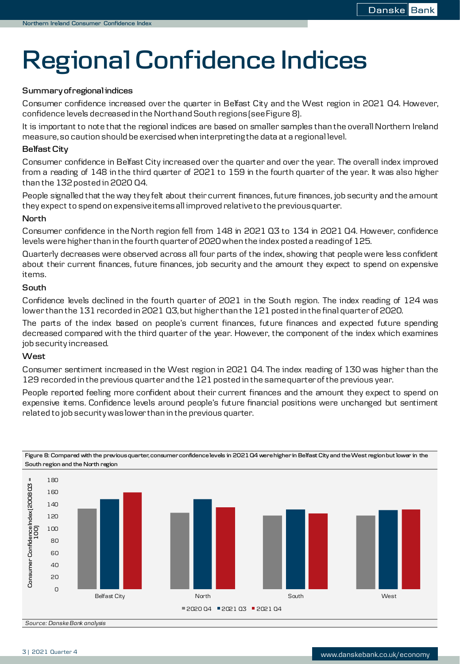## **Regional Confidence Indices**

#### **Summary ofregionalindices**

Consumer confidence increased over the quarter in Belfast City and the West region in 2021 Q4. However, confidence levels decreased in the Northand South regions (see Figure 8).

It is important to note that the regional indices are based on smaller samples than the overall Northern Ireland measure,so caution should be exercised when interpretingthe data at a regional level.

#### **Belfast City**

Consumer confidence in Belfast City increased over the quarter and over the year. The overall index improved from a reading of 148 in the third quarter of 2021 to 159 in the fourth quarter of the year. It was also higher than the  $132$  posted in 2020 Q4.

People signalled that the way they felt about their current finances, future finances, job security and the amount they expect to spend on expensiveitemsall improved relativeto the previousquarter.

#### **North**

Consumer confidence in the North region fell from 148 in 2021 Q3 to 134 in 2021 Q4. However, confidence levels were higher than in the fourth quarterof 2020when the index posted a readingof 125.

Quarterly decreases were observed across all four parts of the index, showing that people were less confident about their current finances, future finances, job security and the amount they expect to spend on expensive items.

#### **South**

Confidence levels declined in the fourth quarter of 2021 in the South region. The index reading of 124 was lower than the 131 recorded in 2021 Q3, but higher than the 121 posted in the final quarter of 2020.

The parts of the index based on people's current finances, future finances and expected future spending decreased compared with the third quarter of the year. However, the component of the index which examines job security increased.

#### **West**

Consumer sentiment increased in the West region in 2021 Q4. The index reading of 130 was higher than the 129 recorded in the previous quarter and the 121 posted in the same quarter of the previous year.

People reported feeling more confident about their current finances and the amount they expect to spend on expensive items. Confidence levels around people's future financial positions were unchanged but sentiment related to job security waslower than in the previous quarter.



**Figure 8: Compared with the previous quarter, consumer confidence levels in 2021 Q4 were higher in Belfast City and the West region but lower in the South region and the North region**

*Source: Danske Bank analysis*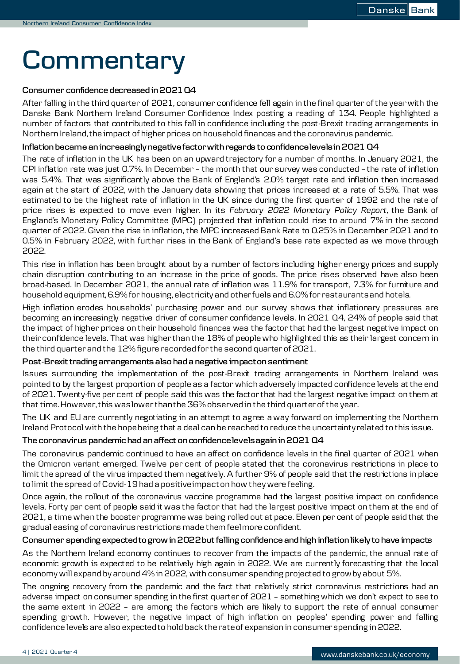### **Commentary**

#### **Consumer confidence decreased in2021Q4**

After falling in the third quarter of 2021, consumer confidence fell again in the final quarter ofthe yearwith the Danske Bank Northern Ireland Consumer Confidence Index posting a reading of 134. People highlighted a number of factors that contributed to this fall in confidence including the post-Brexit trading arrangements in Northern Ireland, the impact of higher prices on household finances and the coronavirus pandemic.

#### **Inflationbecame anincreasinglynegative factorwithregards to confidencelevelsin2021 Q4**

The rate of inflation in the UK has been on an upward trajectory for a number of months. In January 2021, the CPI inflation rate was just 0.7%. In December – the month that our survey was conducted – the rate of inflation was 5.4%. That was significantly above the Bank of England's 2.0% target rate and inflation then increased again at the start of 2022, with the January data showing that prices increased at a rate of 5.5%. That was estimated to be the highest rate of inflation in the UK since during the first quarter of 1992 and the rate of price rises is expected to move even higher. In its *February 2022 Monetary Policy Report,* the Bank of England's Monetary Policy Committee (MPC) projected that inflation could rise to around 7% in the second quarter of 2022. Given the rise in inflation, the MPC increasedBank Rate to 0.25% in December 2021 and to 0.5% in February 2022, with further rises in the Bank of England's base rate expected as we move through 2022.

This rise in inflation has been brought about by a number of factors including higher energy prices and supply chain disruption contributing to an increase in the price of goods. The price rises observed have also been broad-based. In December 2021, the annual rate of inflation was 11.9% for transport, 7.3% for furniture and household equipment, 6.9% for housing, electricity and other fuels and 6.0% for restaurants and hotels.

High inflation erodes households' purchasing power and our survey shows that inflationary pressures are becoming an increasingly negative driver of consumer confidence levels. In 2021 Q4, 24% of people said that the impact of higher prices on their household finances was the factor that had the largest negative impact on theirconfidence levels. That was higher than the 18% of people who highlighted this as their largest concern in the third quarterand the 12%figure recorded for the second quarterof 2021.

#### **Post-Brexittrading arrangements also had a negative impactonsentiment**

Issues surrounding the implementation of the post-Brexit trading arrangements in Northern Ireland was pointed to by the largest proportion of people as a factor whichadversely impacted confidence levels at the end of 2021. Twenty-five percent of people said this was the factor that had the largest negative impact on them at that time.However,this waslower thanthe 36%observed in the third quarterofthe year.

The UK and EU are currently negotiating in an attempt to agree a way forward on implementing the Northern Ireland Protocol with the hope being that a deal can be reached to reduce the uncertainty related to this issue.

#### **The coronavirus pandemic had anaffect onconfidencelevelsagainin2021 Q4**

The coronavirus pandemic continued to have an affect on confidence levels in the final quarter of 2021 when the Omicron variant emerged. Twelve per cent of people stated that the coronavirus restrictions in place to limit the spread of the virus impacted them negatively. A further 9% of people said that the restrictions in place to limit the spread of Covid-19had a positiveimpacton how they were feeling.

Once again, the rollout of the coronavirus vaccine programme had the largest positive impact on confidence levels. Forty per cent of people said it was the factor that had the largest positive impact on them at the end of 2021, a time when the booster programme was being rolled out at pace. Eleven per cent of people said that the gradual easing of coronavirusrestrictions made themfeelmore confident.

#### **Consumer spending expectedto growin2022butfalling confidence andhighinflationlikely to have impacts**

As the Northern Ireland economy continues to recover from the impacts of the pandemic, the annual rate of economic growth is expected to be relatively high again in 2022. We are currently forecasting that the local economy will expand by around 4% in 2022, with consumer spending projected to grow by about 5%.

The ongoing recovery from the pandemic and the fact that relatively strict coronavirus restrictions had an adverse impact on consumer spending in the first quarterof 2021 – something which we don't expect to see to the same extent in 2022 – are among the factors which are likely to support the rate of annual consumer spending growth. However, the negative impact of high inflation on peoples' spending power and falling confidence levels are also expectedto hold back the rateof expansion in consumerspending in2022.